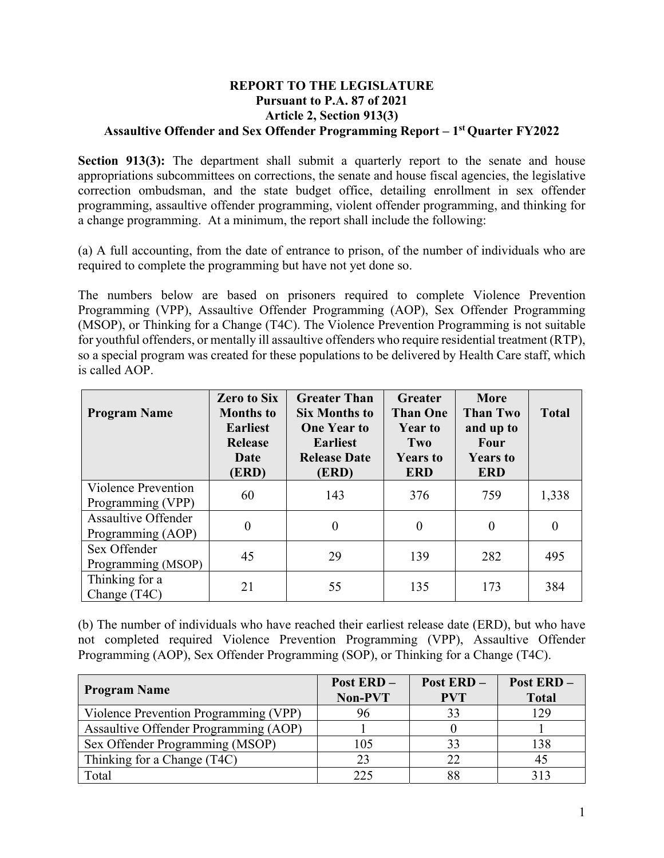## **REPORT TO THE LEGISLATURE Pursuant to P.A. 87 of 2021 Article 2, Section 913(3) Assaultive Offender and Sex Offender Programming Report – 1st Quarter FY2022**

**Section 913(3):** The department shall submit a quarterly report to the senate and house appropriations subcommittees on corrections, the senate and house fiscal agencies, the legislative correction ombudsman, and the state budget office, detailing enrollment in sex offender programming, assaultive offender programming, violent offender programming, and thinking for a change programming. At a minimum, the report shall include the following:

(a) A full accounting, from the date of entrance to prison, of the number of individuals who are required to complete the programming but have not yet done so.

The numbers below are based on prisoners required to complete Violence Prevention Programming (VPP), Assaultive Offender Programming (AOP), Sex Offender Programming (MSOP), or Thinking for a Change (T4C). The Violence Prevention Programming is not suitable for youthful offenders, or mentally ill assaultive offenders who require residential treatment (RTP), so a special program was created for these populations to be delivered by Health Care staff, which is called AOP.

| <b>Program Name</b>                             | <b>Zero to Six</b><br><b>Months to</b><br><b>Earliest</b><br><b>Release</b><br>Date<br>(ERD) | <b>Greater Than</b><br><b>Six Months to</b><br><b>One Year to</b><br><b>Earliest</b><br><b>Release Date</b><br>(ERD) | <b>Greater</b><br><b>Than One</b><br><b>Year to</b><br>Two<br><b>Years to</b><br><b>ERD</b> | <b>More</b><br><b>Than Two</b><br>and up to<br>Four<br><b>Years to</b><br><b>ERD</b> | <b>Total</b>   |
|-------------------------------------------------|----------------------------------------------------------------------------------------------|----------------------------------------------------------------------------------------------------------------------|---------------------------------------------------------------------------------------------|--------------------------------------------------------------------------------------|----------------|
| Violence Prevention<br>Programming (VPP)        | 60                                                                                           | 143                                                                                                                  | 376                                                                                         | 759                                                                                  | 1,338          |
| <b>Assaultive Offender</b><br>Programming (AOP) | $\overline{0}$                                                                               | $\theta$                                                                                                             | $\theta$                                                                                    | $\theta$                                                                             | $\overline{0}$ |
| Sex Offender<br>Programming (MSOP)              | 45                                                                                           | 29                                                                                                                   | 139                                                                                         | 282                                                                                  | 495            |
| Thinking for a<br>Change (T4C)                  | 21                                                                                           | 55                                                                                                                   | 135                                                                                         | 173                                                                                  | 384            |

(b) The number of individuals who have reached their earliest release date (ERD), but who have not completed required Violence Prevention Programming (VPP), Assaultive Offender Programming (AOP), Sex Offender Programming (SOP), or Thinking for a Change (T4C).

| <b>Program Name</b>                   | <b>Post ERD-</b><br><b>Non-PVT</b> | Post ERD-<br><b>PVT</b> | <b>Post ERD -</b><br><b>Total</b> |
|---------------------------------------|------------------------------------|-------------------------|-----------------------------------|
| Violence Prevention Programming (VPP) | 96                                 |                         | 129                               |
| Assaultive Offender Programming (AOP) |                                    |                         |                                   |
| Sex Offender Programming (MSOP)       | 105                                | 33                      | 138                               |
| Thinking for a Change (T4C)           | 23                                 | 22                      | 45                                |
| Total                                 | 225                                |                         | 313                               |